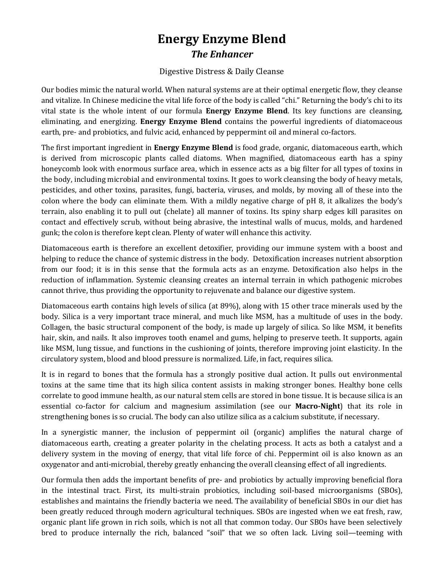## **Energy Enzyme Blend** *The Enhancer*

## Digestive Distress & Daily Cleanse

Our bodies mimic the natural world. When natural systems are at their optimal energetic flow, they cleanse and vitalize. In Chinese medicine the vital life force of the body is called "chi." Returning the body's chi to its vital state is the whole intent of our formula **Energy Enzyme Blend**. Its key functions are cleansing, eliminating, and energizing. **Energy Enzyme Blend** contains the powerful ingredients of diatomaceous earth, pre- and probiotics, and fulvic acid, enhanced by peppermint oil and mineral co-factors.

The first important ingredient in **Energy Enzyme Blend** is food grade, organic, diatomaceous earth, which is derived from microscopic plants called diatoms. When magnified, diatomaceous earth has a spiny honeycomb look with enormous surface area, which in essence acts as a big filter for all types of toxins in the body, including microbial and environmental toxins. It goes to work cleansing the body of heavy metals, pesticides, and other toxins, parasites, fungi, bacteria, viruses, and molds, by moving all of these into the colon where the body can eliminate them. With a mildly negative charge of pH 8, it alkalizes the body's terrain, also enabling it to pull out (chelate) all manner of toxins. Its spiny sharp edges kill parasites on contact and effectively scrub, without being abrasive, the intestinal walls of mucus, molds, and hardened gunk; the colon is therefore kept clean. Plenty of water will enhance this activity.

Diatomaceous earth is therefore an excellent detoxifier, providing our immune system with a boost and helping to reduce the chance of systemic distress in the body. Detoxification increases nutrient absorption from our food; it is in this sense that the formula acts as an enzyme. Detoxification also helps in the reduction of inflammation. Systemic cleansing creates an internal terrain in which pathogenic microbes cannot thrive, thus providing the opportunity to rejuvenate and balance our digestive system.

Diatomaceous earth contains high levels of silica (at 89%), along with 15 other trace minerals used by the body. Silica is a very important trace mineral, and much like MSM, has a multitude of uses in the body. Collagen, the basic structural component of the body, is made up largely of silica. So like MSM, it benefits hair, skin, and nails. It also improves tooth enamel and gums, helping to preserve teeth. It supports, again like MSM, lung tissue, and functions in the cushioning of joints, therefore improving joint elasticity. In the circulatory system, blood and blood pressure is normalized. Life, in fact, requires silica.

It is in regard to bones that the formula has a strongly positive dual action. It pulls out environmental toxins at the same time that its high silica content assists in making stronger bones. Healthy bone cells correlate to good immune health, as our natural stem cells are stored in bone tissue. It is because silica is an essential co-factor for calcium and magnesium assimilation (see our **Macro-Night**) that its role in strengthening bones is so crucial. The body can also utilize silica as a calcium substitute, if necessary.

In a synergistic manner, the inclusion of peppermint oil (organic) amplifies the natural charge of diatomaceous earth, creating a greater polarity in the chelating process. It acts as both a catalyst and a delivery system in the moving of energy, that vital life force of chi. Peppermint oil is also known as an oxygenator and anti-microbial, thereby greatly enhancing the overall cleansing effect of all ingredients.

Our formula then adds the important benefits of pre- and probiotics by actually improving beneficial flora in the intestinal tract. First, its multi-strain probiotics, including soil-based microorganisms (SBOs), establishes and maintains the friendly bacteria we need. The availability of beneficial SBOs in our diet has been greatly reduced through modern agricultural techniques. SBOs are ingested when we eat fresh, raw, organic plant life grown in rich soils, which is not all that common today. Our SBOs have been selectively bred to produce internally the rich, balanced "soil" that we so often lack. Living soil—teeming with